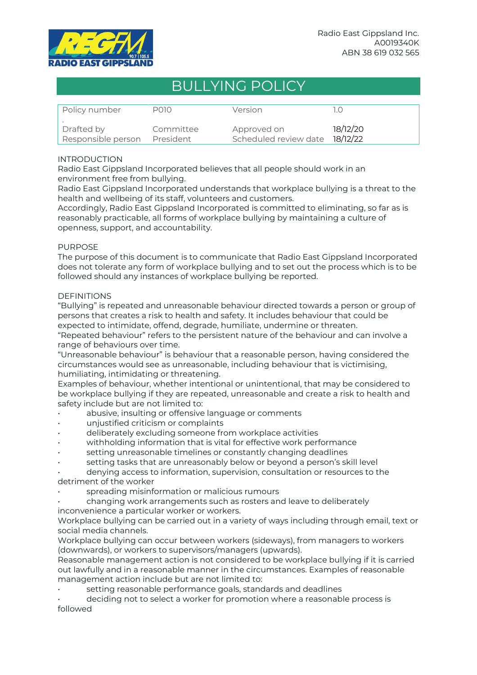

# BULLYING POLICY

| Policy number      | P010      | Version                        |          |
|--------------------|-----------|--------------------------------|----------|
| Drafted by         | Committee | Approved on                    | 18/12/20 |
| Responsible person | President | Scheduled review date 18/12/22 |          |

## INTRODUCTION

Radio East Gippsland Incorporated believes that all people should work in an environment free from bullying.

Radio East Gippsland Incorporated understands that workplace bullying is a threat to the health and wellbeing of its staff, volunteers and customers.

Accordingly, Radio East Gippsland Incorporated is committed to eliminating, so far as is reasonably practicable, all forms of workplace bullying by maintaining a culture of openness, support, and accountability.

### PURPOSE

The purpose of this document is to communicate that Radio East Gippsland Incorporated does not tolerate any form of workplace bullying and to set out the process which is to be followed should any instances of workplace bullying be reported.

### **DEFINITIONS**

"Bullying" is repeated and unreasonable behaviour directed towards a person or group of persons that creates a risk to health and safety. It includes behaviour that could be expected to intimidate, offend, degrade, humiliate, undermine or threaten.

"Repeated behaviour" refers to the persistent nature of the behaviour and can involve a range of behaviours over time.

"Unreasonable behaviour" is behaviour that a reasonable person, having considered the circumstances would see as unreasonable, including behaviour that is victimising, humiliating, intimidating or threatening.

Examples of behaviour, whether intentional or unintentional, that may be considered to be workplace bullying if they are repeated, unreasonable and create a risk to health and safety include but are not limited to:

- abusive, insulting or offensive language or comments
- unjustified criticism or complaints
- deliberately excluding someone from workplace activities
- withholding information that is vital for effective work performance
- setting unreasonable timelines or constantly changing deadlines
- setting tasks that are unreasonably below or beyond a person's skill level

• denying access to information, supervision, consultation or resources to the detriment of the worker

- spreading misinformation or malicious rumours
- changing work arrangements such as rosters and leave to deliberately
- inconvenience a particular worker or workers.

Workplace bullying can be carried out in a variety of ways including through email, text or social media channels.

Workplace bullying can occur between workers (sideways), from managers to workers (downwards), or workers to supervisors/managers (upwards).

Reasonable management action is not considered to be workplace bullying if it is carried out lawfully and in a reasonable manner in the circumstances. Examples of reasonable management action include but are not limited to:

setting reasonable performance goals, standards and deadlines

• deciding not to select a worker for promotion where a reasonable process is followed